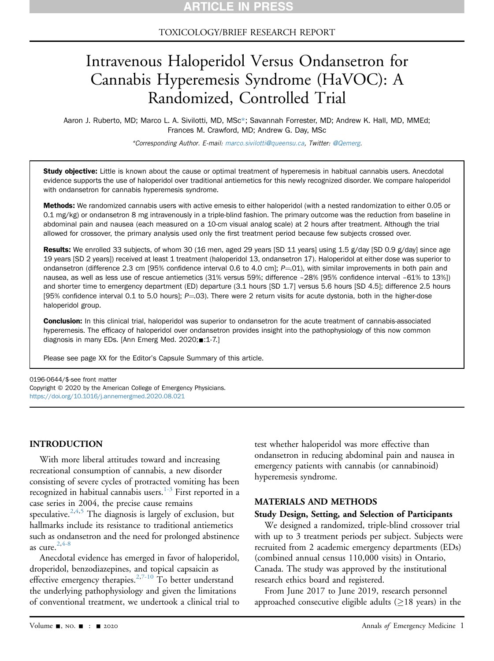### TOXICOLOGY/BRIEF RESEARCH REPORT

# Intravenous Haloperidol Versus Ondansetron for Cannabis Hyperemesis Syndrome (HaVOC): A Randomized, Controlled Trial

Aaron J. Ruberto, MD; Marco L. A. Sivilotti, MD, MSc\*; Savannah Forrester, MD; Andrew K. Hall, MD, MMEd; Frances M. Crawford, MD; Andrew G. Day, MSc

\*Corresponding Author. E-mail: [marco.sivilotti@queensu.ca](mailto:marco.sivilotti@queensu.ca), Twitter: @Qemerg.

Study objective: Little is known about the cause or optimal treatment of hyperemesis in habitual cannabis users. Anecdotal evidence supports the use of haloperidol over traditional antiemetics for this newly recognized disorder. We compare haloperidol with ondansetron for cannabis hyperemesis syndrome.

Methods: We randomized cannabis users with active emesis to either haloperidol (with a nested randomization to either 0.05 or 0.1 mg/kg) or ondansetron 8 mg intravenously in a triple-blind fashion. The primary outcome was the reduction from baseline in abdominal pain and nausea (each measured on a 10-cm visual analog scale) at 2 hours after treatment. Although the trial allowed for crossover, the primary analysis used only the first treatment period because few subjects crossed over.

Results: We enrolled 33 subjects, of whom 30 (16 men, aged 29 years [SD 11 years] using 1.5 g/day [SD 0.9 g/day] since age 19 years [SD 2 years]) received at least 1 treatment (haloperidol 13, ondansetron 17). Haloperidol at either dose was superior to ondansetron (difference 2.3 cm [95% confidence interval 0.6 to 4.0 cm];  $P=01$ ), with similar improvements in both pain and nausea, as well as less use of rescue antiemetics (31% versus 59%; difference –28% [95% confidence interval –61% to 13%]) and shorter time to emergency department (ED) departure (3.1 hours [SD 1.7] versus 5.6 hours [SD 4.5]; difference 2.5 hours [95% confidence interval 0.1 to 5.0 hours];  $P = 03$ ). There were 2 return visits for acute dystonia, both in the higher-dose haloperidol group.

Conclusion: In this clinical trial, haloperidol was superior to ondansetron for the acute treatment of cannabis-associated hyperemesis. The efficacy of haloperidol over ondansetron provides insight into the pathophysiology of this now common diagnosis in many EDs. [Ann Emerg Med. 2020; :1-7.]

Please see page XX for the Editor's Capsule Summary of this article.

0196-0644/\$-see front matter Copyright © 2020 by the American College of Emergency Physicians. <https://doi.org/10.1016/j.annemergmed.2020.08.021>

### INTRODUCTION

With more liberal attitudes toward and increasing recreational consumption of cannabis, a new disorder consisting of severe cycles of protracted vomiting has been recognized in habitual cannabis users.<sup>[1-3](#page-6-0)</sup> First reported in a case series in 2004, the precise cause remains speculative.<sup>[2](#page-6-1)[,4](#page-6-2)[,5](#page-6-3)</sup> The diagnosis is largely of exclusion, but hallmarks include its resistance to traditional antiemetics such as ondansetron and the need for prolonged abstinence as cure.  $2,4-8$  $2,4-8$ 

Anecdotal evidence has emerged in favor of haloperidol, droperidol, benzodiazepines, and topical capsaicin as effective emergency therapies.<sup>[2](#page-6-1)[,7-10](#page-6-4)</sup> To better understand the underlying pathophysiology and given the limitations of conventional treatment, we undertook a clinical trial to test whether haloperidol was more effective than ondansetron in reducing abdominal pain and nausea in emergency patients with cannabis (or cannabinoid) hyperemesis syndrome.

#### MATERIALS AND METHODS

#### Study Design, Setting, and Selection of Participants

We designed a randomized, triple-blind crossover trial with up to 3 treatment periods per subject. Subjects were recruited from 2 academic emergency departments (EDs) (combined annual census 110,000 visits) in Ontario, Canada. The study was approved by the institutional research ethics board and registered.

From June 2017 to June 2019, research personnel approached consecutive eligible adults ( $\geq$ 18 years) in the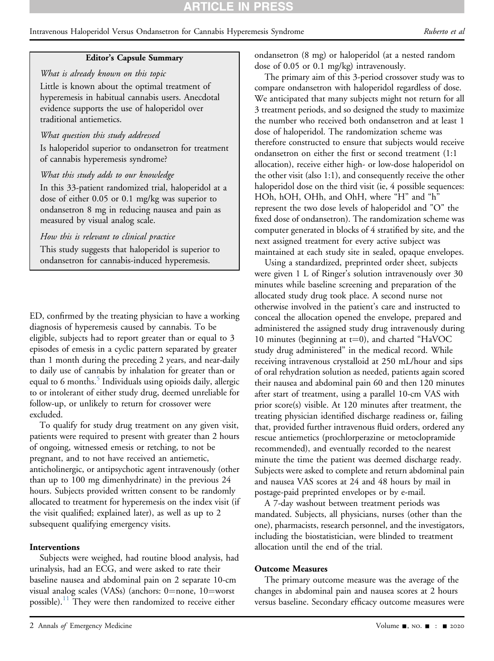## **TICLE IN PRES**

#### Editor's Capsule Summary

What is already known on this topic Little is known about the optimal treatment of hyperemesis in habitual cannabis users. Anecdotal evidence supports the use of haloperidol over traditional antiemetics.

#### What question this study addressed

Is haloperidol superior to ondansetron for treatment of cannabis hyperemesis syndrome?

#### What this study adds to our knowledge

In this 33-patient randomized trial, haloperidol at a dose of either 0.05 or 0.1 mg/kg was superior to ondansetron 8 mg in reducing nausea and pain as measured by visual analog scale.

How this is relevant to clinical practice

This study suggests that haloperidol is superior to ondansetron for cannabis-induced hyperemesis.

ED, confirmed by the treating physician to have a working diagnosis of hyperemesis caused by cannabis. To be eligible, subjects had to report greater than or equal to 3 episodes of emesis in a cyclic pattern separated by greater than 1 month during the preceding 2 years, and near-daily to daily use of cannabis by inhalation for greater than or equal to 6 months.<sup>5</sup> Individuals using opioids daily, allergic to or intolerant of either study drug, deemed unreliable for follow-up, or unlikely to return for crossover were excluded.

To qualify for study drug treatment on any given visit, patients were required to present with greater than 2 hours of ongoing, witnessed emesis or retching, to not be pregnant, and to not have received an antiemetic, anticholinergic, or antipsychotic agent intravenously (other than up to 100 mg dimenhydrinate) in the previous 24 hours. Subjects provided written consent to be randomly allocated to treatment for hyperemesis on the index visit (if the visit qualified; explained later), as well as up to 2 subsequent qualifying emergency visits.

#### Interventions

Subjects were weighed, had routine blood analysis, had urinalysis, had an ECG, and were asked to rate their baseline nausea and abdominal pain on 2 separate 10-cm visual analog scales (VASs) (anchors: 0=none, 10=worst possible).<sup>[11](#page-6-5)</sup> They were then randomized to receive either

ondansetron (8 mg) or haloperidol (at a nested random dose of 0.05 or 0.1 mg/kg) intravenously.

The primary aim of this 3-period crossover study was to compare ondansetron with haloperidol regardless of dose. We anticipated that many subjects might not return for all 3 treatment periods, and so designed the study to maximize the number who received both ondansetron and at least 1 dose of haloperidol. The randomization scheme was therefore constructed to ensure that subjects would receive ondansetron on either the first or second treatment (1:1 allocation), receive either high- or low-dose haloperidol on the other visit (also 1:1), and consequently receive the other haloperidol dose on the third visit (ie, 4 possible sequences: HOh, hOH, OHh, and OhH, where "H" and "h" represent the two dose levels of haloperidol and "O" the fixed dose of ondansetron). The randomization scheme was computer generated in blocks of 4 stratified by site, and the next assigned treatment for every active subject was maintained at each study site in sealed, opaque envelopes.

Using a standardized, preprinted order sheet, subjects were given 1 L of Ringer's solution intravenously over 30 minutes while baseline screening and preparation of the allocated study drug took place. A second nurse not otherwise involved in the patient's care and instructed to conceal the allocation opened the envelope, prepared and administered the assigned study drug intravenously during 10 minutes (beginning at  $t=0$ ), and charted "HaVOC study drug administered" in the medical record. While receiving intravenous crystalloid at 250 mL/hour and sips of oral rehydration solution as needed, patients again scored their nausea and abdominal pain 60 and then 120 minutes after start of treatment, using a parallel 10-cm VAS with prior score(s) visible. At 120 minutes after treatment, the treating physician identified discharge readiness or, failing that, provided further intravenous fluid orders, ordered any rescue antiemetics (prochlorperazine or metoclopramide recommended), and eventually recorded to the nearest minute the time the patient was deemed discharge ready. Subjects were asked to complete and return abdominal pain and nausea VAS scores at 24 and 48 hours by mail in postage-paid preprinted envelopes or by e-mail.

A 7-day washout between treatment periods was mandated. Subjects, all physicians, nurses (other than the one), pharmacists, research personnel, and the investigators, including the biostatistician, were blinded to treatment allocation until the end of the trial.

#### Outcome Measures

The primary outcome measure was the average of the changes in abdominal pain and nausea scores at 2 hours versus baseline. Secondary efficacy outcome measures were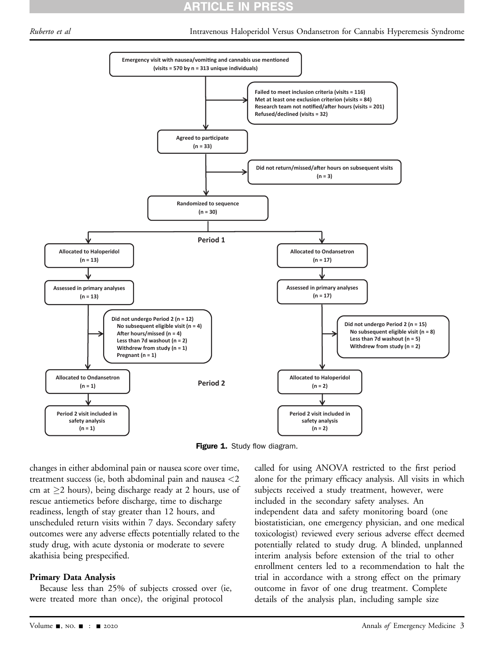### <span id="page-2-0"></span>Ruberto et al Intravenous Haloperidol Versus Ondansetron for Cannabis Hyperemesis Syndrome



**ARTICLE IN PRESS** 

Figure 1. Study flow diagram.

changes in either abdominal pain or nausea score over time, treatment success (ie, both abdominal pain and nausea <2 cm at  $\geq$  hours), being discharge ready at 2 hours, use of rescue antiemetics before discharge, time to discharge readiness, length of stay greater than 12 hours, and unscheduled return visits within 7 days. Secondary safety outcomes were any adverse effects potentially related to the study drug, with acute dystonia or moderate to severe akathisia being prespecified.

#### Primary Data Analysis

Because less than 25% of subjects crossed over (ie, were treated more than once), the original protocol

called for using ANOVA restricted to the first period alone for the primary efficacy analysis. All visits in which subjects received a study treatment, however, were included in the secondary safety analyses. An independent data and safety monitoring board (one biostatistician, one emergency physician, and one medical toxicologist) reviewed every serious adverse effect deemed potentially related to study drug. A blinded, unplanned interim analysis before extension of the trial to other enrollment centers led to a recommendation to halt the trial in accordance with a strong effect on the primary outcome in favor of one drug treatment. Complete details of the analysis plan, including sample size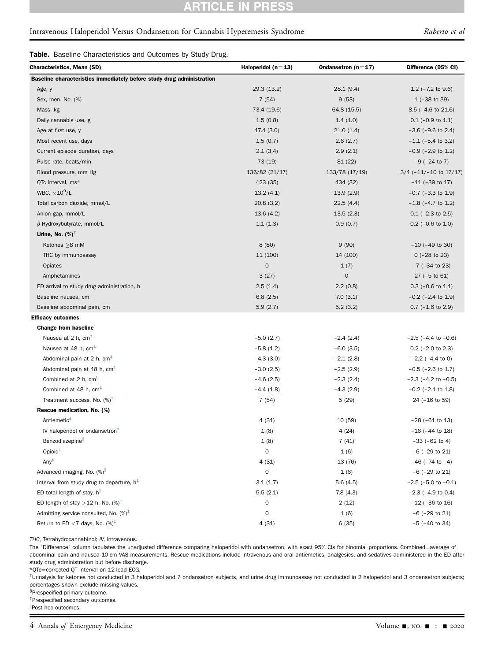#### **PRESS** CLI н IN

#### Intravenous Haloperidol Versus Ondansetron for Cannabis Hyperemesis Syndrome Ruberto et al

#### Table. Baseline Characteristics and Outcomes by Study Drug.

| Characteristics, Mean (SD)                                            | Haloperidol $(n=13)$ | Ondansetron $(n=17)$ | Difference (95% CI)         |
|-----------------------------------------------------------------------|----------------------|----------------------|-----------------------------|
| Baseline characteristics immediately before study drug administration |                      |                      |                             |
| Age, y                                                                | 29.3 (13.2)          | 28.1(9.4)            | $1.2$ ( $-7.2$ to 9.6)      |
| Sex, men, No. (%)                                                     | 7(54)                | 9(53)                | $1 (-38 to 39)$             |
| Mass, kg                                                              | 73.4 (19.6)          | 64.8 (15.5)          | 8.5 (-4.6 to 21.6)          |
| Daily cannabis use, g                                                 | 1.5(0.8)             | 1.4(1.0)             | $0.1$ (-0.9 to 1.1)         |
| Age at first use, y                                                   | 17.4(3.0)            | 21.0(1.4)            | $-3.6$ ( $-9.6$ to 2.4)     |
| Most recent use, days                                                 | 1.5(0.7)             | 2.6(2.7)             | $-1.1$ ( $-5.4$ to 3.2)     |
| Current episode duration, days                                        | 2.1(3.4)             | 2.9(2.1)             | $-0.9$ ( $-2.9$ to 1.2)     |
| Pulse rate, beats/min                                                 | 73 (19)              | 81 (22)              | $-9$ ( $-24$ to 7)          |
| Blood pressure, mm Hg                                                 | 136/82 (21/17)       | 133/78 (17/19)       | $3/4$ (-11/-10 to 17/17)    |
| QTc interval, ms*                                                     | 423 (35)             | 434 (32)             | $-11$ ( $-39$ to 17)        |
| WBC, $\times 10^9$ /L                                                 | 13.2(4.1)            | 13.9(2.9)            | $-0.7$ ( $-3.3$ to 1.9)     |
| Total carbon dioxide, mmol/L                                          | 20.8(3.2)            | 22.5(4.4)            | $-1.8$ ( $-4.7$ to 1.2)     |
| Anion gap, mmol/L                                                     | 13.6(4.2)            | 13.5(2.3)            | $0.1$ (-2.3 to 2.5)         |
| $\beta$ -Hydroxybutyrate, mmol/L                                      | 1.1(1.3)             | 0.9(0.7)             | $0.2$ (-0.6 to 1.0)         |
| Urine, No. $(\%)^{\dagger}$                                           |                      |                      |                             |
| Ketones ≥8 mM                                                         | 8(80)                | 9(90)                | $-10$ ( $-49$ to 30)        |
| THC by immunoassay                                                    | 11 (100)             | 14 (100)             | $0$ ( $-28$ to 23)          |
| Opiates                                                               | $\mathsf O$          | 1(7)                 | $-7$ ( $-34$ to 23)         |
| Amphetamines                                                          | 3(27)                | 0                    | $27$ ( $-5$ to 61)          |
| ED arrival to study drug administration, h                            | 2.5(1.4)             | 2.2(0.8)             | $0.3$ ( $-0.6$ to 1.1)      |
| Baseline nausea, cm                                                   | 6.8(2.5)             | 7.0(3.1)             | $-0.2$ ( $-2.4$ to 1.9)     |
| Baseline abdominal pain, cm                                           | 5.9(2.7)             | 5.2(3.2)             | $0.7$ ( $-1.6$ to 2.9)      |
| <b>Efficacy outcomes</b>                                              |                      |                      |                             |
| <b>Change from baseline</b>                                           |                      |                      |                             |
| Nausea at 2 h, cm <sup>+</sup>                                        | $-5.0(2.7)$          | $-2.4(2.4)$          | $-2.5$ ( $-4.4$ to $-0.6$ ) |
| Nausea at 48 h, cm <sup>#</sup>                                       | $-5.8(1.2)$          | $-6.0(3.5)$          | $0.2$ (-2.0 to 2.3)         |
| Abdominal pain at 2 h, $cm‡$                                          | $-4.3(3.0)$          | $-2.1(2.8)$          | $-2.2$ ( $-4.4$ to 0)       |
| Abdominal pain at 48 h, cm <sup>+</sup>                               | $-3.0(2.5)$          | $-2.5(2.9)$          | $-0.5$ ( $-2.6$ to 1.7)     |
| Combined at 2 h, cm <sup>s</sup>                                      | $-4.6(2.5)$          | $-2.3(2.4)$          | $-2.3$ ( $-4.2$ to $-0.5$ ) |
| Combined at 48 h, $cm‡$                                               | $-4.4(1.8)$          | $-4.3(2.9)$          | $-0.2$ ( $-2.1$ to 1.8)     |
| Treatment success, No. $(%)^{\ddagger}$                               | 7(54)                | 5(29)                | 24 (-16 to 59)              |
| Rescue medication, No. (%)                                            |                      |                      |                             |
| Antiemetic <sup>#</sup>                                               | 4 (31)               | 10 (59)              | $-28$ ( $-61$ to 13)        |
| IV haloperidol or ondansetron <sup>#</sup>                            | 1(8)                 | 4(24)                | $-16$ ( $-44$ to 18)        |
| Benzodiazepine                                                        | $1\ (8)$             | 7(41)                | $-33$ ( $-62$ to 4)         |
| Opioid                                                                | 0                    | 1(6)                 | $-6$ ( $-29$ to 21)         |
| $Any^{\ddagger}$                                                      | 4(31)                | 13 (76)              | $-46$ ( $-74$ to $-4$ )     |
| Advanced imaging, No. (%)                                             | $\mathsf{O}\xspace$  | 1(6)                 | $-6$ ( $-29$ to 21)         |
| Interval from study drug to departure, $h^{\ddagger}$                 | 3.1(1.7)             | 5.6(4.5)             | $-2.5$ ( $-5.0$ to $-0.1$ ) |
| ED total length of stay, $h^{\parallel}$                              | 5.5(2.1)             | 7.8(4.3)             | $-2.3$ ( $-4.9$ to 0.4)     |
| ED length of stay > 12 h, No. $(\%)^{\ddagger}$                       | $\pmb{0}$            | 2(12)                | $-12$ ( $-36$ to 16)        |
| Admitting service consulted, No. $(\%)^{\ddagger}$                    | $\mathbf 0$          | 1(6)                 | $-6$ ( $-29$ to 21)         |
| Return to ED <7 days, No. $(\%)^{\ddagger}$                           | 4(31)                | 6(35)                | $-5$ ( $-40$ to 34)         |

<span id="page-3-4"></span>THC, Tetrahydrocannabinol; IV, intravenous.

The "Difference" column tabulates the unadjusted difference comparing haloperidol with ondansetron, with exact 95% CIs for binomial proportions. Combined=average of abdominal pain and nausea 10-cm VAS measurements. Rescue medications include intravenous and oral antiemetics, analgesics, and sedatives administered in the ED after study drug administration but before discharge.

<span id="page-3-0"></span>\*QTc=corrected QT interval on 12-lead ECG.

<span id="page-3-1"></span><sup>†</sup>Urinalysis for ketones not conducted in 3 haloperidol and 7 ondansetron subjects, and urine drug immunoassay not conducted in 2 haloperidol and 3 ondansetron subjects; percentages shown exclude missing values.

<span id="page-3-3"></span>§ Prespecified primary outcome.

<span id="page-3-2"></span>‡ Prespecified secondary outcomes.

k Post hoc outcomes.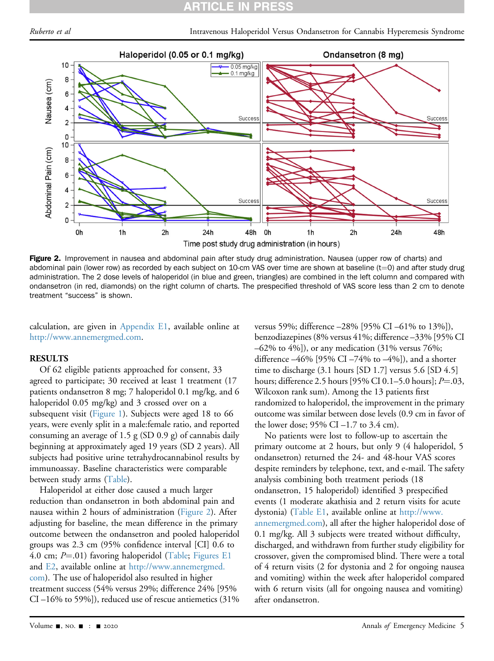<span id="page-4-0"></span>

Figure 2. Improvement in nausea and abdominal pain after study drug administration. Nausea (upper row of charts) and abdominal pain (lower row) as recorded by each subject on 10-cm VAS over time are shown at baseline  $(t=0)$  and after study drug administration. The 2 dose levels of haloperidol (in blue and green, triangles) are combined in the left column and compared with ondansetron (in red, diamonds) on the right column of charts. The prespecified threshold of VAS score less than 2 cm to denote treatment "success" is shown.

calculation, are given in Appendix E1, available online at <http://www.annemergmed.com>.

### **RESULTS**

Of 62 eligible patients approached for consent, 33 agreed to participate; 30 received at least 1 treatment (17 patients ondansetron 8 mg; 7 haloperidol 0.1 mg/kg, and 6 haloperidol 0.05 mg/kg) and 3 crossed over on a subsequent visit [\(Figure 1](#page-2-0)). Subjects were aged 18 to 66 years, were evenly split in a male:female ratio, and reported consuming an average of 1.5 g (SD 0.9 g) of cannabis daily beginning at approximately aged 19 years (SD 2 years). All subjects had positive urine tetrahydrocannabinol results by immunoassay. Baseline characteristics were comparable between study arms ([Table](#page-3-4)).

Haloperidol at either dose caused a much larger reduction than ondansetron in both abdominal pain and nausea within 2 hours of administration ([Figure 2\)](#page-4-0). After adjusting for baseline, the mean difference in the primary outcome between the ondansetron and pooled haloperidol groups was 2.3 cm (95% confidence interval [CI] 0.6 to 4.0 cm;  $P = .01$ ) favoring haloperidol ([Table](#page-3-4); Figures E1 and E2, available online at [http://www.annemergmed.](http://www.annemergmed.com) [com](http://www.annemergmed.com)). The use of haloperidol also resulted in higher treatment success (54% versus 29%; difference 24% [95% CI –16% to 59%]), reduced use of rescue antiemetics (31%

versus 59%; difference –28% [95% CI –61% to 13%]), benzodiazepines (8% versus 41%; difference –33% [95% CI  $-62\%$  to 4%]), or any medication (31% versus 76%; difference  $-46\%$  [95% CI  $-74\%$  to  $-4\%$ ]), and a shorter time to discharge (3.1 hours [SD 1.7] versus 5.6 [SD 4.5] hours; difference 2.5 hours [95% CI 0.1–5.0 hours];  $P = .03$ , Wilcoxon rank sum). Among the 13 patients first randomized to haloperidol, the improvement in the primary outcome was similar between dose levels (0.9 cm in favor of the lower dose:  $95\%$  CI  $-1.7$  to 3.4 cm).

No patients were lost to follow-up to ascertain the primary outcome at 2 hours, but only 9 (4 haloperidol, 5 ondansetron) returned the 24- and 48-hour VAS scores despite reminders by telephone, text, and e-mail. The safety analysis combining both treatment periods (18 ondansetron, 15 haloperidol) identified 3 prespecified events (1 moderate akathisia and 2 return visits for acute dystonia) (Table E1, available online at [http://www.](http://www.annemergmed.com) [annemergmed.com\)](http://www.annemergmed.com), all after the higher haloperidol dose of 0.1 mg/kg. All 3 subjects were treated without difficulty, discharged, and withdrawn from further study eligibility for crossover, given the compromised blind. There were a total of 4 return visits (2 for dystonia and 2 for ongoing nausea and vomiting) within the week after haloperidol compared with 6 return visits (all for ongoing nausea and vomiting) after ondansetron.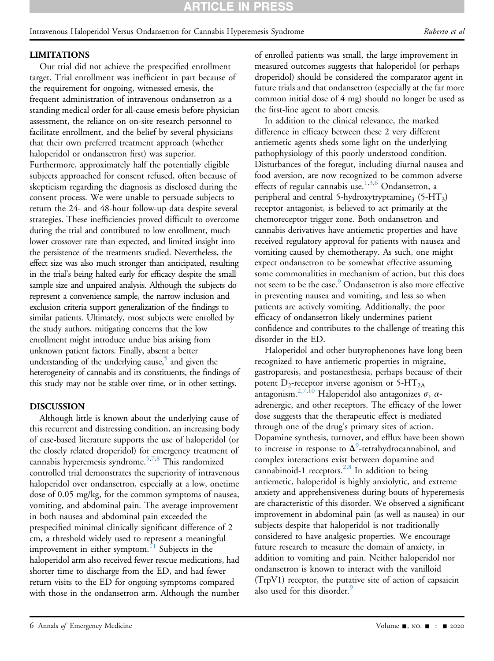## CLE IN

Intravenous Haloperidol Versus Ondansetron for Cannabis Hyperemesis Syndrome and Ruberto et al.

#### LIMITATIONS

Our trial did not achieve the prespecified enrollment target. Trial enrollment was inefficient in part because of the requirement for ongoing, witnessed emesis, the frequent administration of intravenous ondansetron as a standing medical order for all-cause emesis before physician assessment, the reliance on on-site research personnel to facilitate enrollment, and the belief by several physicians that their own preferred treatment approach (whether haloperidol or ondansetron first) was superior. Furthermore, approximately half the potentially eligible subjects approached for consent refused, often because of skepticism regarding the diagnosis as disclosed during the consent process. We were unable to persuade subjects to return the 24- and 48-hour follow-up data despite several strategies. These inefficiencies proved difficult to overcome during the trial and contributed to low enrollment, much lower crossover rate than expected, and limited insight into the persistence of the treatments studied. Nevertheless, the effect size was also much stronger than anticipated, resulting in the trial's being halted early for efficacy despite the small sample size and unpaired analysis. Although the subjects do represent a convenience sample, the narrow inclusion and exclusion criteria support generalization of the findings to similar patients. Ultimately, most subjects were enrolled by the study authors, mitigating concerns that the low enrollment might introduce undue bias arising from unknown patient factors. Finally, absent a better understanding of the underlying cause,<sup>5</sup> and given the heterogeneity of cannabis and its constituents, the findings of this study may not be stable over time, or in other settings.

### DISCUSSION

Although little is known about the underlying cause of this recurrent and distressing condition, an increasing body of case-based literature supports the use of haloperidol (or the closely related droperidol) for emergency treatment of cannabis hyperemesis syndrome.<sup>[5](#page-6-3)[,7](#page-6-4)[,8](#page-6-6)</sup> This randomized controlled trial demonstrates the superiority of intravenous haloperidol over ondansetron, especially at a low, onetime dose of 0.05 mg/kg, for the common symptoms of nausea, vomiting, and abdominal pain. The average improvement in both nausea and abdominal pain exceeded the prespecified minimal clinically significant difference of 2 cm, a threshold widely used to represent a meaningful improvement in either symptom.<sup>[11](#page-6-5)</sup> Subjects in the haloperidol arm also received fewer rescue medications, had shorter time to discharge from the ED, and had fewer return visits to the ED for ongoing symptoms compared with those in the ondansetron arm. Although the number

of enrolled patients was small, the large improvement in measured outcomes suggests that haloperidol (or perhaps droperidol) should be considered the comparator agent in future trials and that ondansetron (especially at the far more common initial dose of 4 mg) should no longer be used as the first-line agent to abort emesis.

In addition to the clinical relevance, the marked difference in efficacy between these 2 very different antiemetic agents sheds some light on the underlying pathophysiology of this poorly understood condition. Disturbances of the foregut, including diurnal nausea and food aversion, are now recognized to be common adverse effects of regular cannabis use.<sup>[1](#page-6-0)[,3,](#page-6-7)[6](#page-6-8)</sup> Ondansetron, a peripheral and central 5-hydroxytryptamine<sub>3</sub> (5-HT<sub>3</sub>) receptor antagonist, is believed to act primarily at the chemoreceptor trigger zone. Both ondansetron and cannabis derivatives have antiemetic properties and have received regulatory approval for patients with nausea and vomiting caused by chemotherapy. As such, one might expect ondansetron to be somewhat effective assuming some commonalities in mechanism of action, but this does not seem to be the case.<sup>[9](#page-6-9)</sup> Ondansetron is also more effective in preventing nausea and vomiting, and less so when patients are actively vomiting. Additionally, the poor efficacy of ondansetron likely undermines patient confidence and contributes to the challenge of treating this disorder in the ED.

Haloperidol and other butyrophenones have long been recognized to have antiemetic properties in migraine, gastroparesis, and postanesthesia, perhaps because of their potent  $D_2$ -receptor inverse agonism or 5-HT<sub>2A</sub> antagonism.<sup>2,[7,](#page-6-4)[10](#page-6-10)</sup> Haloperidol also antagonizes  $\sigma$ ,  $\alpha$ adrenergic, and other receptors. The efficacy of the lower dose suggests that the therapeutic effect is mediated through one of the drug's primary sites of action. Dopamine synthesis, turnover, and efflux have been shown to increase in response to  $\Delta^9$  $\Delta^9$ -tetrahydrocannabinol, and complex interactions exist between dopamine and cannabinoid-1 receptors.<sup>[2](#page-6-1)[,8](#page-6-6)</sup> In addition to being antiemetic, haloperidol is highly anxiolytic, and extreme anxiety and apprehensiveness during bouts of hyperemesis are characteristic of this disorder. We observed a significant improvement in abdominal pain (as well as nausea) in our subjects despite that haloperidol is not traditionally considered to have analgesic properties. We encourage future research to measure the domain of anxiety, in addition to vomiting and pain. Neither haloperidol nor ondansetron is known to interact with the vanilloid (TrpV1) receptor, the putative site of action of capsaicin also used for this disorder.<sup>9</sup>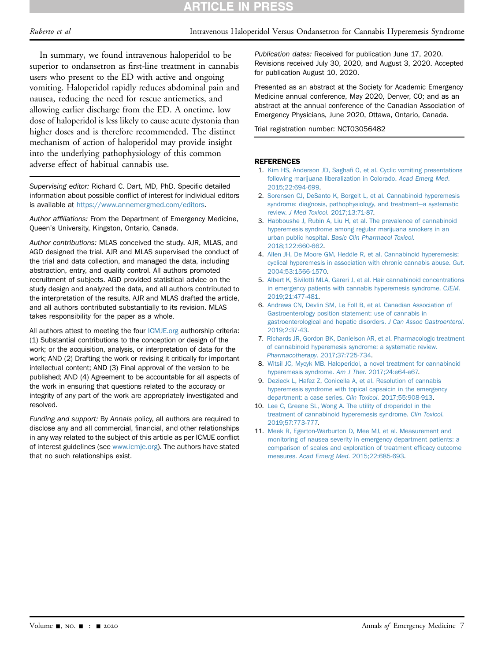## RTICLE IN PRES

In summary, we found intravenous haloperidol to be superior to ondansetron as first-line treatment in cannabis users who present to the ED with active and ongoing vomiting. Haloperidol rapidly reduces abdominal pain and nausea, reducing the need for rescue antiemetics, and allowing earlier discharge from the ED. A onetime, low dose of haloperidol is less likely to cause acute dystonia than higher doses and is therefore recommended. The distinct mechanism of action of haloperidol may provide insight into the underlying pathophysiology of this common adverse effect of habitual cannabis use.

Supervising editor: Richard C. Dart, MD, PhD. Specific detailed information about possible conflict of interest for individual editors is available at <https://www.annemergmed.com/editors>.

Author affiliations: From the Department of Emergency Medicine, Queen's University, Kingston, Ontario, Canada.

Author contributions: MLAS conceived the study. AJR, MLAS, and AGD designed the trial. AJR and MLAS supervised the conduct of the trial and data collection, and managed the data, including abstraction, entry, and quality control. All authors promoted recruitment of subjects. AGD provided statistical advice on the study design and analyzed the data, and all authors contributed to the interpretation of the results. AJR and MLAS drafted the article, and all authors contributed substantially to its revision. MLAS takes responsibility for the paper as a whole.

All authors attest to meeting the four [ICMJE.org](http://ICMJE.org) authorship criteria: (1) Substantial contributions to the conception or design of the work; or the acquisition, analysis, or interpretation of data for the work; AND (2) Drafting the work or revising it critically for important intellectual content; AND (3) Final approval of the version to be published; AND (4) Agreement to be accountable for all aspects of the work in ensuring that questions related to the accuracy or integrity of any part of the work are appropriately investigated and resolved.

Funding and support: By Annals policy, all authors are required to disclose any and all commercial, financial, and other relationships in any way related to the subject of this article as per ICMJE conflict of interest guidelines (see [www.icmje.org\)](http://www.icmje.org). The authors have stated that no such relationships exist.

Publication dates: Received for publication June 17, 2020. Revisions received July 30, 2020, and August 3, 2020. Accepted for publication August 10, 2020.

Presented as an abstract at the Society for Academic Emergency Medicine annual conference, May 2020, Denver, CO; and as an abstract at the annual conference of the Canadian Association of Emergency Physicians, June 2020, Ottawa, Ontario, Canada.

Trial registration number: NCT03056482

#### **REFERENCES**

- <span id="page-6-0"></span>1. Kim HS, Anderson JD, Saghafi [O, et al. Cyclic vomiting presentations](http://refhub.elsevier.com/S0196-0644(20)30666-1/sref1) [following marijuana liberalization in Colorado.](http://refhub.elsevier.com/S0196-0644(20)30666-1/sref1) Acad Emerg Med. [2015;22:694-699](http://refhub.elsevier.com/S0196-0644(20)30666-1/sref1).
- <span id="page-6-1"></span>2. [Sorensen CJ, DeSanto K, Borgelt L, et al. Cannabinoid hyperemesis](http://refhub.elsevier.com/S0196-0644(20)30666-1/sref2) [syndrome: diagnosis, pathophysiology, and treatment](http://refhub.elsevier.com/S0196-0644(20)30666-1/sref2)—[a systematic](http://refhub.elsevier.com/S0196-0644(20)30666-1/sref2) review. J Med Toxicol[. 2017;13:71-87.](http://refhub.elsevier.com/S0196-0644(20)30666-1/sref2)
- <span id="page-6-7"></span>3. [Habboushe J, Rubin A, Liu H, et al. The prevalence of cannabinoid](http://refhub.elsevier.com/S0196-0644(20)30666-1/sref3) [hyperemesis syndrome among regular marijuana smokers in an](http://refhub.elsevier.com/S0196-0644(20)30666-1/sref3) urban public hospital. [Basic Clin Pharmacol Toxicol](http://refhub.elsevier.com/S0196-0644(20)30666-1/sref3). [2018;122:660-662.](http://refhub.elsevier.com/S0196-0644(20)30666-1/sref3)
- <span id="page-6-2"></span>4. [Allen JH, De Moore GM, Heddle R, et al. Cannabinoid hyperemesis:](http://refhub.elsevier.com/S0196-0644(20)30666-1/sref4) [cyclical hyperemesis in association with chronic cannabis abuse.](http://refhub.elsevier.com/S0196-0644(20)30666-1/sref4) Gut. [2004;53:1566-1570](http://refhub.elsevier.com/S0196-0644(20)30666-1/sref4).
- <span id="page-6-3"></span>5. [Albert K, Sivilotti MLA, Gareri J, et al. Hair cannabinoid concentrations](http://refhub.elsevier.com/S0196-0644(20)30666-1/sref5) [in emergency patients with cannabis hyperemesis syndrome.](http://refhub.elsevier.com/S0196-0644(20)30666-1/sref5) CJEM. [2019;21:477-481](http://refhub.elsevier.com/S0196-0644(20)30666-1/sref5).
- <span id="page-6-8"></span>6. [Andrews CN, Devlin SM, Le Foll B, et al. Canadian Association of](http://refhub.elsevier.com/S0196-0644(20)30666-1/sref6) [Gastroenterology position statement: use of cannabis in](http://refhub.elsevier.com/S0196-0644(20)30666-1/sref6) [gastroenterological and hepatic disorders.](http://refhub.elsevier.com/S0196-0644(20)30666-1/sref6) J Can Assoc Gastroenterol. [2019;2:37-43.](http://refhub.elsevier.com/S0196-0644(20)30666-1/sref6)
- <span id="page-6-4"></span>7. [Richards JR, Gordon BK, Danielson AR, et al. Pharmacologic treatment](http://refhub.elsevier.com/S0196-0644(20)30666-1/sref7) [of cannabinoid hyperemesis syndrome: a systematic review.](http://refhub.elsevier.com/S0196-0644(20)30666-1/sref7) Pharmacotherapy[. 2017;37:725-734.](http://refhub.elsevier.com/S0196-0644(20)30666-1/sref7)
- <span id="page-6-6"></span>8. [Witsil JC, Mycyk MB. Haloperidol, a novel treatment for cannabinoid](http://refhub.elsevier.com/S0196-0644(20)30666-1/sref8) [hyperemesis syndrome.](http://refhub.elsevier.com/S0196-0644(20)30666-1/sref8) Am J Ther. 2017;24:e64-e67.
- <span id="page-6-9"></span>9. [Dezieck L, Hafez Z, Conicella A, et al. Resolution of cannabis](http://refhub.elsevier.com/S0196-0644(20)30666-1/sref9) [hyperemesis syndrome with topical capsaicin in the emergency](http://refhub.elsevier.com/S0196-0644(20)30666-1/sref9) [department: a case series.](http://refhub.elsevier.com/S0196-0644(20)30666-1/sref9) Clin Toxicol. 2017;55:908-913.
- <span id="page-6-10"></span>10. [Lee C, Greene SL, Wong A. The utility of droperidol in the](http://refhub.elsevier.com/S0196-0644(20)30666-1/sref10) [treatment of cannabinoid hyperemesis syndrome.](http://refhub.elsevier.com/S0196-0644(20)30666-1/sref10) Clin Toxicol. [2019;57:773-777.](http://refhub.elsevier.com/S0196-0644(20)30666-1/sref10)
- <span id="page-6-5"></span>11. [Meek R, Egerton-Warburton D, Mee MJ, et al. Measurement and](http://refhub.elsevier.com/S0196-0644(20)30666-1/sref11) [monitoring of nausea severity in emergency department patients: a](http://refhub.elsevier.com/S0196-0644(20)30666-1/sref11) [comparison of scales and exploration of treatment ef](http://refhub.elsevier.com/S0196-0644(20)30666-1/sref11)ficacy outcome measures. Acad Emerg Med[. 2015;22:685-693.](http://refhub.elsevier.com/S0196-0644(20)30666-1/sref11)